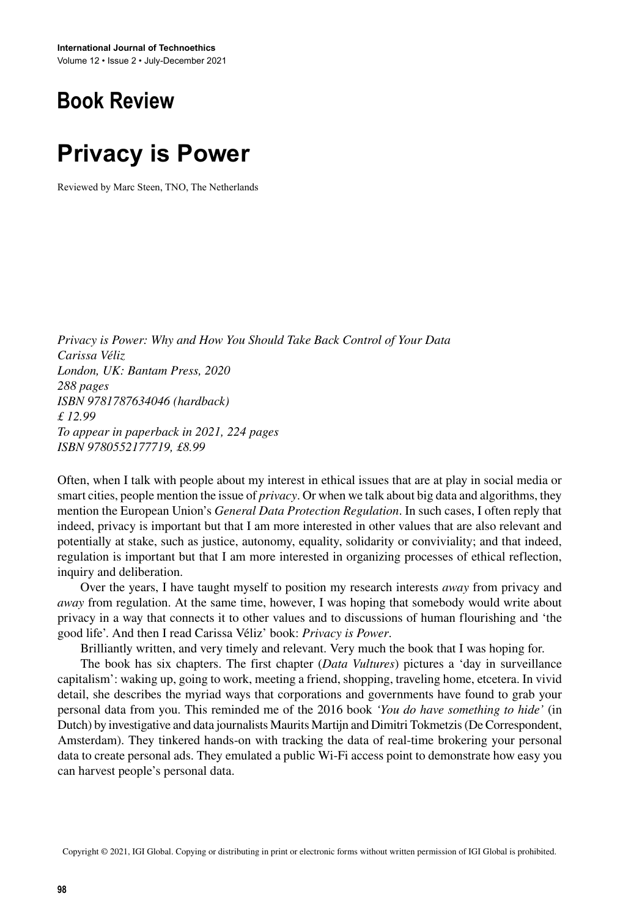## **Book Review**

## **Privacy is Power**

Reviewed by Marc Steen, TNO, The Netherlands

*Privacy is Power: Why and How You Should Take Back Control of Your Data Carissa Véliz London, UK: Bantam Press, 2020 288 pages ISBN 9781787634046 (hardback) £ 12.99 To appear in paperback in 2021, 224 pages ISBN 9780552177719, £8.99*

Often, when I talk with people about my interest in ethical issues that are at play in social media or smart cities, people mention the issue of *privacy*. Or when we talk about big data and algorithms, they mention the European Union's *General Data Protection Regulation*. In such cases, I often reply that indeed, privacy is important but that I am more interested in other values that are also relevant and potentially at stake, such as justice, autonomy, equality, solidarity or conviviality; and that indeed, regulation is important but that I am more interested in organizing processes of ethical reflection, inquiry and deliberation.

Over the years, I have taught myself to position my research interests *away* from privacy and *away* from regulation. At the same time, however, I was hoping that somebody would write about privacy in a way that connects it to other values and to discussions of human flourishing and 'the good life'. And then I read Carissa Véliz' book: *Privacy is Power*.

Brilliantly written, and very timely and relevant. Very much the book that I was hoping for.

The book has six chapters. The first chapter (*Data Vultures*) pictures a 'day in surveillance capitalism': waking up, going to work, meeting a friend, shopping, traveling home, etcetera. In vivid detail, she describes the myriad ways that corporations and governments have found to grab your personal data from you. This reminded me of the 2016 book *'You do have something to hide'* (in Dutch) by investigative and data journalists Maurits Martijn and Dimitri Tokmetzis(De Correspondent, Amsterdam). They tinkered hands-on with tracking the data of real-time brokering your personal data to create personal ads. They emulated a public Wi-Fi access point to demonstrate how easy you can harvest people's personal data.

Copyright © 2021, IGI Global. Copying or distributing in print or electronic forms without written permission of IGI Global is prohibited.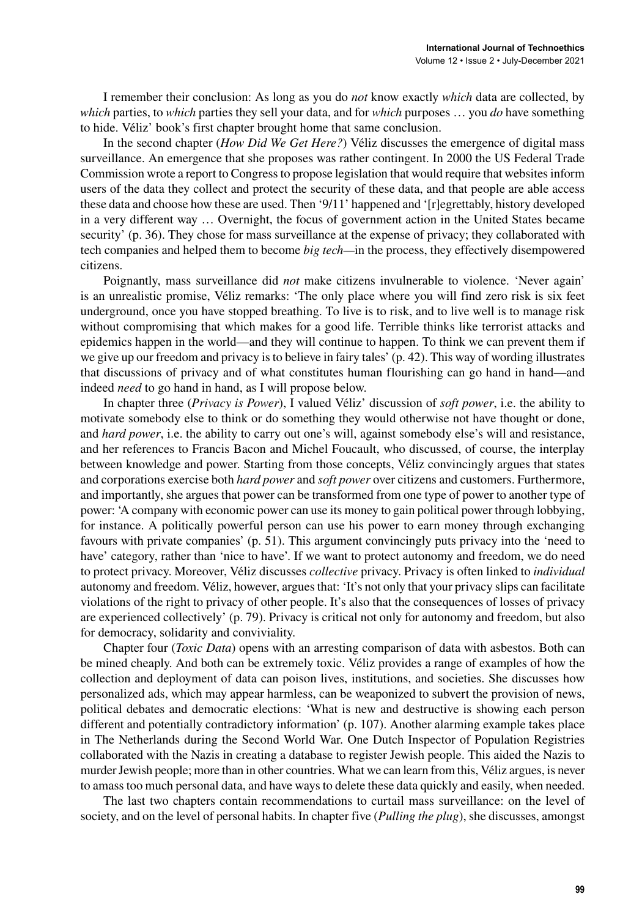I remember their conclusion: As long as you do *not* know exactly *which* data are collected, by *which* parties, to *which* parties they sell your data, and for *which* purposes … you *do* have something to hide. Véliz' book's first chapter brought home that same conclusion.

In the second chapter (*How Did We Get Here?*) Véliz discusses the emergence of digital mass surveillance. An emergence that she proposes was rather contingent. In 2000 the US Federal Trade Commission wrote a report to Congressto propose legislation that would require that websitesinform users of the data they collect and protect the security of these data, and that people are able access these data and choose how these are used. Then '9/11' happened and '[r]egrettably, history developed in a very different way … Overnight, the focus of government action in the United States became security' (p. 36). They chose for mass surveillance at the expense of privacy; they collaborated with tech companies and helped them to become *big tech—*in the process, they effectively disempowered citizens.

Poignantly, mass surveillance did *not* make citizens invulnerable to violence. 'Never again' is an unrealistic promise, Véliz remarks: 'The only place where you will find zero risk is six feet underground, once you have stopped breathing. To live is to risk, and to live well is to manage risk without compromising that which makes for a good life. Terrible thinks like terrorist attacks and epidemics happen in the world—and they will continue to happen. To think we can prevent them if we give up our freedom and privacy isto believe in fairy tales' (p. 42). This way of wording illustrates that discussions of privacy and of what constitutes human flourishing can go hand in hand—and indeed *need* to go hand in hand, as I will propose below.

In chapter three (*Privacy is Power*), I valued Véliz' discussion of *soft power*, i.e. the ability to motivate somebody else to think or do something they would otherwise not have thought or done, and *hard power*, i.e. the ability to carry out one's will, against somebody else's will and resistance, and her references to Francis Bacon and Michel Foucault, who discussed, of course, the interplay between knowledge and power. Starting from those concepts, Véliz convincingly argues that states and corporations exercise both *hard power* and *soft power* over citizens and customers. Furthermore, and importantly, she argues that power can be transformed from one type of power to another type of power: 'A company with economic power can use its money to gain political power through lobbying, for instance. A politically powerful person can use his power to earn money through exchanging favours with private companies' (p. 51). This argument convincingly puts privacy into the 'need to have' category, rather than 'nice to have'. If we want to protect autonomy and freedom, we do need to protect privacy. Moreover, Véliz discusses *collective* privacy. Privacy is often linked to *individual* autonomy and freedom. Véliz, however, arguesthat: 'It's not only that your privacy slips can facilitate violations of the right to privacy of other people. It's also that the consequences of losses of privacy are experienced collectively' (p. 79). Privacy is critical not only for autonomy and freedom, but also for democracy, solidarity and conviviality.

Chapter four (*Toxic Data*) opens with an arresting comparison of data with asbestos. Both can be mined cheaply. And both can be extremely toxic. Véliz provides a range of examples of how the collection and deployment of data can poison lives, institutions, and societies. She discusses how personalized ads, which may appear harmless, can be weaponized to subvert the provision of news, political debates and democratic elections: 'What is new and destructive is showing each person different and potentially contradictory information' (p. 107). Another alarming example takes place in The Netherlands during the Second World War. One Dutch Inspector of Population Registries collaborated with the Nazis in creating a database to register Jewish people. This aided the Nazis to murder Jewish people; more than in other countries. What we can learn from this, Véliz argues, is never to amasstoo much personal data, and have waysto delete these data quickly and easily, when needed.

The last two chapters contain recommendations to curtail mass surveillance: on the level of society, and on the level of personal habits. In chapter five (*Pulling the plug*), she discusses, amongst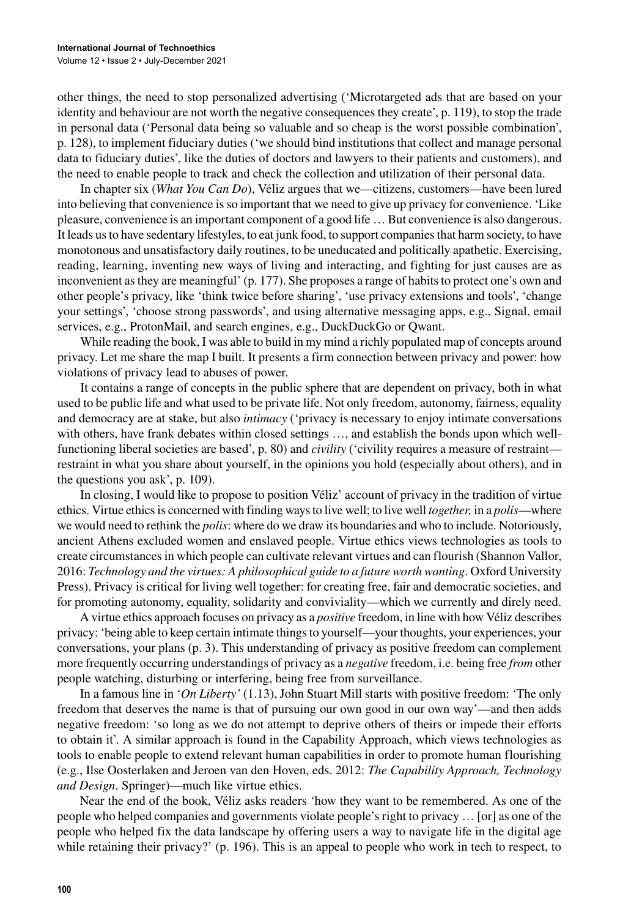other things, the need to stop personalized advertising ('Microtargeted ads that are based on your identity and behaviour are not worth the negative consequences they create', p. 119), to stop the trade in personal data ('Personal data being so valuable and so cheap is the worst possible combination', p. 128), to implement fiduciary duties ('we should bind institutions that collect and manage personal data to fiduciary duties', like the duties of doctors and lawyers to their patients and customers), and the need to enable people to track and check the collection and utilization of their personal data.

In chapter six (*What You Can Do*), Véliz argues that we—citizens, customers—have been lured into believing that convenience isso important that we need to give up privacy for convenience. 'Like pleasure, convenience is an important component of a good life … But convenience is also dangerous. It leads us to have sedentary lifestyles, to eat junk food, to support companies that harm society, to have monotonous and unsatisfactory daily routines, to be uneducated and politically apathetic. Exercising, reading, learning, inventing new ways of living and interacting, and fighting for just causes are as inconvenient as they are meaningful' (p. 177). She proposes a range of habits to protect one's own and other people's privacy, like 'think twice before sharing', 'use privacy extensions and tools', 'change your settings', 'choose strong passwords', and using alternative messaging apps, e.g., Signal, email services, e.g., ProtonMail, and search engines, e.g., DuckDuckGo or Qwant.

While reading the book, I was able to build in my mind a richly populated map of concepts around privacy. Let me share the map I built. It presents a firm connection between privacy and power: how violations of privacy lead to abuses of power.

It contains a range of concepts in the public sphere that are dependent on privacy, both in what used to be public life and what used to be private life. Not only freedom, autonomy, fairness, equality and democracy are at stake, but also *intimacy* ('privacy is necessary to enjoy intimate conversations with others, have frank debates within closed settings …, and establish the bonds upon which wellfunctioning liberal societies are based', p. 80) and *civility* ('civility requires a measure of restraint restraint in what you share about yourself, in the opinions you hold (especially about others), and in the questions you ask', p. 109).

In closing, I would like to propose to position Véliz' account of privacy in the tradition of virtue ethics. Virtue ethicsis concerned with finding waysto live well; to live well *together,* in a *polis*—where we would need to rethink the *polis*: where do we draw its boundaries and who to include. Notoriously, ancient Athens excluded women and enslaved people. Virtue ethics views technologies as tools to create circumstancesin which people can cultivate relevant virtues and can flourish (Shannon Vallor, 2016: *Technology and the virtues: A philosophical guide to a future worth wanting*. Oxford University Press). Privacy is critical for living well together: for creating free, fair and democratic societies, and for promoting autonomy, equality, solidarity and conviviality—which we currently and direly need.

A virtue ethics approach focuses on privacy as a *positive* freedom, in line with how Véliz describes privacy: 'being able to keep certain intimate thingsto yourself—your thoughts, your experiences, your conversations, your plans (p. 3). This understanding of privacy as positive freedom can complement more frequently occurring understandings of privacy as a *negative* freedom, i.e. being free *from* other people watching, disturbing or interfering, being free from surveillance.

In a famous line in '*On Liberty'* (1.13), John Stuart Mill starts with positive freedom: 'The only freedom that deserves the name is that of pursuing our own good in our own way'—and then adds negative freedom: 'so long as we do not attempt to deprive others of theirs or impede their efforts to obtain it'. A similar approach is found in the Capability Approach, which views technologies as tools to enable people to extend relevant human capabilities in order to promote human flourishing (e.g., Ilse Oosterlaken and Jeroen van den Hoven, eds. 2012: *The Capability Approach, Technology and Design*. Springer)—much like virtue ethics.

Near the end of the book, Véliz asks readers 'how they want to be remembered. As one of the people who helped companies and governments violate people's right to privacy … [or] as one of the people who helped fix the data landscape by offering users a way to navigate life in the digital age while retaining their privacy?' (p. 196). This is an appeal to people who work in tech to respect, to